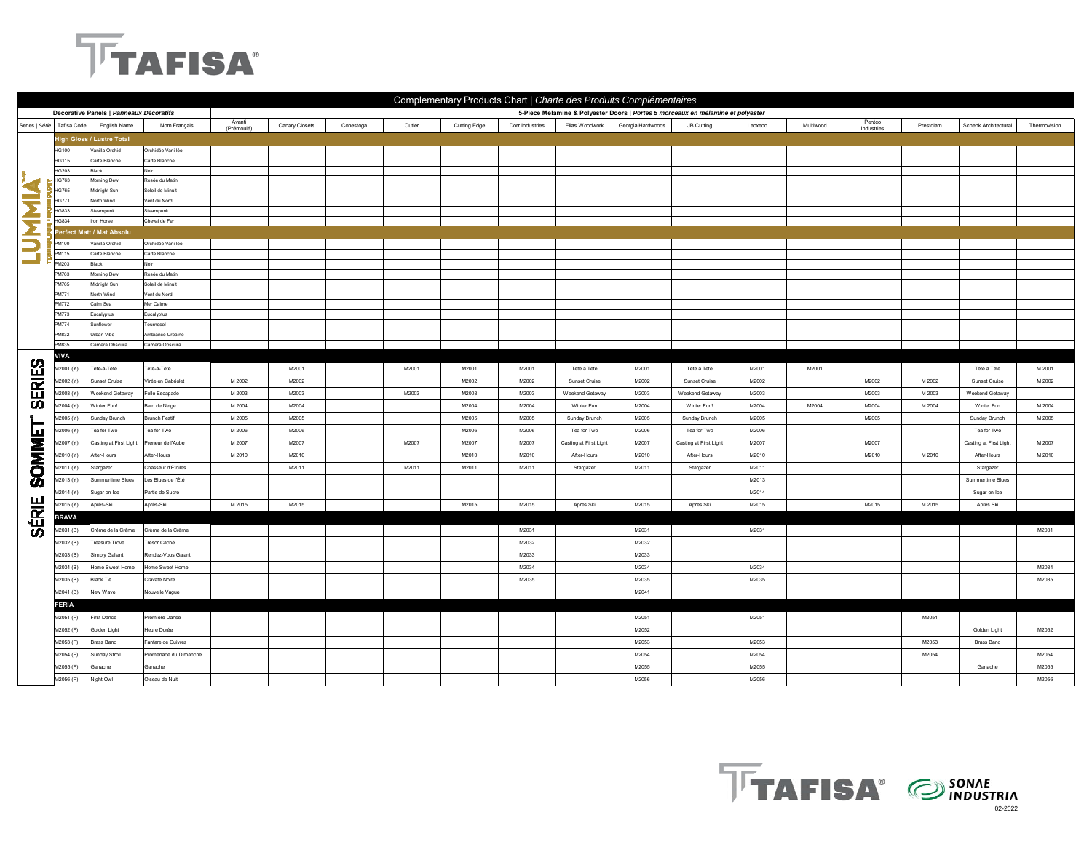## **TTAFISA®**

| Complementary Products Chart   Charte des Produits Complémentaires |                              |                                         |                                  |                                                                                 |                |           |        |              |                 |                        |                   |                        |         |           |                      |           |                        |              |
|--------------------------------------------------------------------|------------------------------|-----------------------------------------|----------------------------------|---------------------------------------------------------------------------------|----------------|-----------|--------|--------------|-----------------|------------------------|-------------------|------------------------|---------|-----------|----------------------|-----------|------------------------|--------------|
|                                                                    |                              | Decorative Panels   Panneaux Décoratifs |                                  | 5-Piece Melamine & Polyester Doors   Portes 5 morceaux en mélamine et polyester |                |           |        |              |                 |                        |                   |                        |         |           |                      |           |                        |              |
|                                                                    | Series   Série   Tafisa Code | English Name                            | Nom Français                     | Avanti<br>(Prémoulé)                                                            | Canary Closets | Conestoga | Cutler | Cutting Edge | Dorr Industries | Elias Woodwork         | Georgia Hardwoods | JB Cutting             | Lecxeco | Multiwood | Pentco<br>Industries | Prestolam | Schenk Architectural   | Thermovision |
|                                                                    |                              | ligh Gloss / Lustre Total               |                                  |                                                                                 |                |           |        |              |                 |                        |                   |                        |         |           |                      |           |                        |              |
| Ż                                                                  | <b>HG100</b>                 | Vanilla Orchid                          | Orchidée Vanillée                |                                                                                 |                |           |        |              |                 |                        |                   |                        |         |           |                      |           |                        |              |
|                                                                    | <b>HG115</b>                 | Carte Blanche                           | Carte Blanche                    |                                                                                 |                |           |        |              |                 |                        |                   |                        |         |           |                      |           |                        |              |
|                                                                    | <b>HG203</b>                 | Black                                   |                                  |                                                                                 |                |           |        |              |                 |                        |                   |                        |         |           |                      |           |                        |              |
|                                                                    | HG763                        | Morning Dew                             | Rosée du Matin                   |                                                                                 |                |           |        |              |                 |                        |                   |                        |         |           |                      |           |                        |              |
|                                                                    | HG765                        | Midnight Sun                            | Soleil de Minuit                 |                                                                                 |                |           |        |              |                 |                        |                   |                        |         |           |                      |           |                        |              |
|                                                                    | HG771                        | North Wind                              | Vent du Nord                     |                                                                                 |                |           |        |              |                 |                        |                   |                        |         |           |                      |           |                        |              |
|                                                                    | <b>HG833</b>                 | Steampunk                               | Steampunk                        |                                                                                 |                |           |        |              |                 |                        |                   |                        |         |           |                      |           |                        |              |
| Σ                                                                  | HG834                        | Iron Horse                              | Cheval de Fer                    |                                                                                 |                |           |        |              |                 |                        |                   |                        |         |           |                      |           |                        |              |
|                                                                    |                              | erfect Matt / Mat Absolu                |                                  |                                                                                 |                |           |        |              |                 |                        |                   |                        |         |           |                      |           |                        |              |
| Ξ                                                                  | PM100                        | Vanilla Orchid                          | Orchidée Vanillée                |                                                                                 |                |           |        |              |                 |                        |                   |                        |         |           |                      |           |                        |              |
| <b>Contract</b>                                                    | PM115                        | Carte Blanche                           | Carte Blanche                    |                                                                                 |                |           |        |              |                 |                        |                   |                        |         |           |                      |           |                        |              |
|                                                                    | PM203                        | Black                                   | Noir                             |                                                                                 |                |           |        |              |                 |                        |                   |                        |         |           |                      |           |                        |              |
|                                                                    | PM763                        | Morning Dew                             | Rosée du Matin                   |                                                                                 |                |           |        |              |                 |                        |                   |                        |         |           |                      |           |                        |              |
|                                                                    | <b>PM765</b><br>PM771        | Midnight Sun<br>North Wind              | Soleil de Minuit<br>Vent du Nord |                                                                                 |                |           |        |              |                 |                        |                   |                        |         |           |                      |           |                        |              |
|                                                                    | PM772                        | Calm Sea                                | Mer Calme                        |                                                                                 |                |           |        |              |                 |                        |                   |                        |         |           |                      |           |                        |              |
|                                                                    | PM773                        | Eucalvotus                              | Eucalvotus                       |                                                                                 |                |           |        |              |                 |                        |                   |                        |         |           |                      |           |                        |              |
|                                                                    | <b>PM774</b>                 | Sunflower                               | Tournesol                        |                                                                                 |                |           |        |              |                 |                        |                   |                        |         |           |                      |           |                        |              |
|                                                                    | PM832                        | Urban Vibe                              | Ambiance Urbaine                 |                                                                                 |                |           |        |              |                 |                        |                   |                        |         |           |                      |           |                        |              |
|                                                                    | <b>PMR35</b>                 | Camera Obscura                          | Camera Obscura                   |                                                                                 |                |           |        |              |                 |                        |                   |                        |         |           |                      |           |                        |              |
|                                                                    | VIVA                         |                                         |                                  |                                                                                 |                |           |        |              |                 |                        |                   |                        |         |           |                      |           |                        |              |
| <b>SERIES</b>                                                      | (Y) M2001                    | Tête-à-Tête                             | Tête-à-Tête                      |                                                                                 | M2001          |           | M2001  | M2001        | M2001           | Tete a Tete            | M2001             | Tete a Tete            | M2001   | M2001     |                      |           | Tete a Tete            | M 2001       |
|                                                                    | (Y) 42002                    | <b>Sunset Cruise</b>                    | Virée en Cabriolet               | M 2002                                                                          | M2002          |           |        | M2002        | M2002           | Sunset Cruise          | M2002             | Sunset Cruise          | M2002   |           | M2002                | M 2002    | Sunset Cruise          | M 2002       |
|                                                                    |                              |                                         |                                  |                                                                                 |                |           |        |              |                 |                        |                   |                        |         |           |                      | M 2003    |                        |              |
|                                                                    | (Y) M2003                    | <b>Neekend Getaway</b>                  | Folle Escapade                   | M 2003                                                                          | M2003          |           | M2003  | M2003        | M2003           | Weekend Getaway        | M2003             | Weekend Getaway        | M2003   |           | M2003                |           | Weekend Getaway        |              |
|                                                                    | (Y) M2004                    | Winter Fun!                             | Bain de Neige!                   | M 2004                                                                          | M2004          |           |        | M2004        | M2004           | Winter Fun             | M2004             | Winter Fun!            | M2004   | M2004     | M2004                | M 2004    | Winter Fun             | M 2004       |
|                                                                    | 42005 (Y)                    | Sunday Brunch                           | <b>Brunch Festif</b>             | M 2005                                                                          | M2005          |           |        | M2005        | M2005           | Sunday Brunch          | M2005             | Sunday Brunch          | M2005   |           | M2005                |           | Sunday Brunch          | M 2005       |
| 匝                                                                  | M2006 (Y)                    | Tea for Two                             | Tea for Two                      | M 2006                                                                          | M2006          |           |        | M2006        | M2006           | Tea for Two            | M2006             | Tea for Two            | M2006   |           |                      |           | Tea for Two            |              |
|                                                                    | M2007 (Y)                    | Casting at First Light                  | Preneur de l'Aube                | M 2007                                                                          | M2007          |           | M2007  | M2007        | M2007           | Casting at First Light | M2007             | Casting at First Light | M2007   |           | M2007                |           | Casting at First Light | M 2007       |
|                                                                    | M2010 (Y)                    | After-Hours                             | After-Hours                      | M 2010                                                                          | M2010          |           |        | M2010        | M2010           | After-Hours            | M2010             | After-Hours            | M2010   |           | M2010                | M 2010    | After-Hours            | M 2010       |
|                                                                    | (Y) M2011                    | Stargazer                               | Chasseur d'Étoiles               |                                                                                 | M2011          |           | M2011  | M2011        | M2011           | Stargazer              | M2011             | Stargazer              | M2011   |           |                      |           | Stargazer              |              |
| <b>ININOS</b>                                                      | 42013 (Y)                    | Summertime Blues                        | Les Blues de l'Été               |                                                                                 |                |           |        |              |                 |                        |                   |                        | M2013   |           |                      |           | Summertime Blues       |              |
|                                                                    | 02014 (Y)                    | Sugar on Ice                            | Partie de Sucre                  |                                                                                 |                |           |        |              |                 |                        |                   |                        | M2014   |           |                      |           | Sugar on Ice           |              |
|                                                                    |                              | Après-Ski                               | Après-Ski                        | M 2015                                                                          | M2015          |           |        | M2015        | M2015           | Apres Ski              | M2015             |                        | M2015   |           | M2015                | M 2015    |                        |              |
| SÉRIE                                                              | M2015 (Y)                    |                                         |                                  |                                                                                 |                |           |        |              |                 |                        |                   | Apres Ski              |         |           |                      |           | Apres Ski              |              |
|                                                                    | <b>BRAVA</b>                 |                                         |                                  |                                                                                 |                |           |        |              |                 |                        |                   |                        |         |           |                      |           |                        |              |
|                                                                    | M2031 (B)                    | Crème de la Crème                       | Crème de la Crème                |                                                                                 |                |           |        |              | M2031           |                        | M2031             |                        | M2031   |           |                      |           |                        | M2031        |
|                                                                    | (B) 42032                    | reasure Trove                           | <b>Trésor Caché</b>              |                                                                                 |                |           |        |              | M2032           |                        | M2032             |                        |         |           |                      |           |                        |              |
|                                                                    | M2033 (B)                    | Simply Gallant                          | Rendez-Vous Galant               |                                                                                 |                |           |        |              | M2033           |                        | M2033             |                        |         |           |                      |           |                        |              |
|                                                                    | M2034 (B)                    | Home Sweet Home                         | Home Sweet Home                  |                                                                                 |                |           |        |              | M2034           |                        | M2034             |                        | M2034   |           |                      |           |                        | M2034        |
|                                                                    | M2035 (B)                    | Black Tie                               | Cravate Noire                    |                                                                                 |                |           |        |              | M2035           |                        | M2035             |                        | M2035   |           |                      |           |                        | M2035        |
|                                                                    | M2041 (B)                    | New Wave                                | Nouvelle Vague                   |                                                                                 |                |           |        |              |                 |                        | M2041             |                        |         |           |                      |           |                        |              |
|                                                                    | <b>FERIA</b>                 |                                         |                                  |                                                                                 |                |           |        |              |                 |                        |                   |                        |         |           |                      |           |                        |              |
|                                                                    | M2051 (F)                    | <b>First Dance</b>                      | Première Danse                   |                                                                                 |                |           |        |              |                 |                        | M2051             |                        | M2051   |           |                      | M2051     |                        |              |
|                                                                    |                              |                                         |                                  |                                                                                 |                |           |        |              |                 |                        |                   |                        |         |           |                      |           |                        |              |
|                                                                    | M2052 (F)                    | Golden Light                            | Heure Dorée                      |                                                                                 |                |           |        |              |                 |                        | M2052             |                        |         |           |                      |           | Golden Light           | M2052        |
|                                                                    | M2053 (F)                    | Brass Band                              | Fanfare de Cuivres               |                                                                                 |                |           |        |              |                 |                        | M2053             |                        | M2053   |           |                      | M2053     | <b>Brass Band</b>      |              |
|                                                                    | M2054 (F)                    | Sunday Stroll                           | Promenade du Dimanche            |                                                                                 |                |           |        |              |                 |                        | M2054             |                        | M2054   |           |                      | M2054     |                        | M2054        |
|                                                                    | M2055 (F)                    | Ganache                                 | Ganache                          |                                                                                 |                |           |        |              |                 |                        | M2055             |                        | M2055   |           |                      |           | Ganache                | M2055        |
|                                                                    | M2056 (F)                    | Night Owl                               | Oiseau de Nuit                   |                                                                                 |                |           |        |              |                 |                        | M2056             |                        | M2056   |           |                      |           |                        | M2056        |

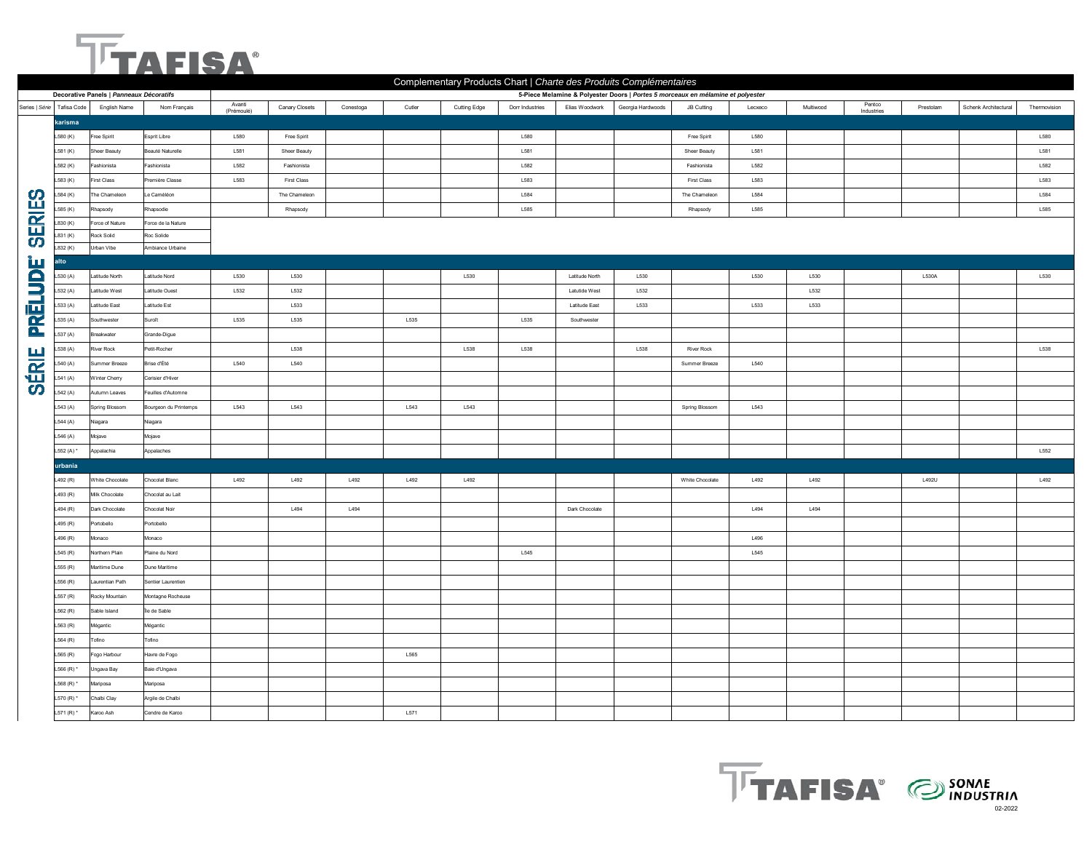## **TTAFISA**

|                |                              |                                         |                       | Complementary Products Chart   Charte des Produits Complémentaires |                |           |        |              |                 |                      |                                                                                 |                    |         |           |                      |           |                      |              |
|----------------|------------------------------|-----------------------------------------|-----------------------|--------------------------------------------------------------------|----------------|-----------|--------|--------------|-----------------|----------------------|---------------------------------------------------------------------------------|--------------------|---------|-----------|----------------------|-----------|----------------------|--------------|
|                |                              | Decorative Panels   Panneaux Décoratifs |                       |                                                                    |                |           |        |              |                 |                      | 5-Piece Melamine & Polyester Doors   Portes 5 morceaux en mélamine et polyester |                    |         |           |                      |           |                      |              |
|                | Series   Série   Tafisa Code | English Name                            | Nom Français          | Avanti<br>(Prémoulé)                                               | Canary Closets | Conestoga | Cutler | Cutting Edge | Dorr Industries | Elias Woodwork       | Georgia Hardwoods                                                               | JB Cutting         | Lecxeco | Multiwood | Pentco<br>Industries | Prestolam | Schenk Architectural | Thermovision |
|                | karisma                      |                                         |                       |                                                                    |                |           |        |              |                 |                      |                                                                                 |                    |         |           |                      |           |                      |              |
|                | L580 (K)                     | Free Spirit                             | Esprit Libre          | L580                                                               | Free Spirit    |           |        |              | L580            |                      |                                                                                 | Free Spirit        | L580    |           |                      |           |                      | L580         |
|                | L581 (K)                     | Sheer Beauty                            | Beauté Naturelle      | L581                                                               | Sheer Beauty   |           |        |              | L581            |                      |                                                                                 | Sheer Beauty       | L581    |           |                      |           |                      | L581         |
|                | L582 (K)                     | Fashionista                             | Fashionista           | L582                                                               | Fashionista    |           |        |              | L582            |                      |                                                                                 | Fashionista        | L582    |           |                      |           |                      | L582         |
|                | L583 (K)                     | <b>First Class</b>                      | remière Classe        | L583                                                               | First Class    |           |        |              | L583            |                      |                                                                                 | <b>First Class</b> | L583    |           |                      |           |                      | L583         |
|                | $-584 (K)$                   | The Chameleon                           | Le Caméléon           |                                                                    | The Chameleon  |           |        |              | L584            |                      |                                                                                 | The Chameleon      | L584    |           |                      |           |                      | L584         |
| <b>SERIES</b>  | 585 (K)                      | Rhapsody                                | Rhapsodie             |                                                                    | Rhapsody       |           |        |              | L585            |                      |                                                                                 | Rhapsody           | L585    |           |                      |           |                      | L585         |
|                | .830 (K)                     | Force of Nature                         | Force de la Nature    |                                                                    |                |           |        |              |                 |                      |                                                                                 |                    |         |           |                      |           |                      |              |
|                | 831 (K)                      | Rock Solid                              | Roc Solide            |                                                                    |                |           |        |              |                 |                      |                                                                                 |                    |         |           |                      |           |                      |              |
|                | 832 (K)                      | Urban Vibe                              | Ambiance Urbaine      |                                                                    |                |           |        |              |                 |                      |                                                                                 |                    |         |           |                      |           |                      |              |
|                | <b>Ito</b>                   |                                         |                       |                                                                    |                |           |        |              |                 |                      |                                                                                 |                    |         |           |                      |           |                      |              |
| <b>PRĒLUDE</b> | .530(A)                      | Latitude North                          | Latitude Nord         | L530                                                               | L530           |           |        | L530         |                 | Latitude North       | L530                                                                            |                    | L530    | L530      |                      | L530A     |                      | L530         |
|                | 532 (A)                      | Latitude West                           | Latitude Ouest        | L532                                                               | L532           |           |        |              |                 | Latutide West        | L532                                                                            |                    |         | L532      |                      |           |                      |              |
|                | $-533(A)$                    | Latitude East                           | Latitude Est          |                                                                    | L533           |           |        |              |                 | <b>Latitude East</b> | L533                                                                            |                    | L533    | L533      |                      |           |                      |              |
|                | .535(A)                      | Southwester                             | Suroît                | L535                                                               | L535           |           | L535   |              | L535            | Southwester          |                                                                                 |                    |         |           |                      |           |                      |              |
| <b>SÉRIE</b>   | 537 (A)                      | Breakwater                              | Grande-Digue          |                                                                    |                |           |        |              |                 |                      |                                                                                 |                    |         |           |                      |           |                      |              |
|                | 538 (A)                      | River Rock                              | Petit-Rocher          |                                                                    | L538           |           |        | L538         | L538            |                      | L538                                                                            | River Rock         |         |           |                      |           |                      | L538         |
|                | 540 (A)                      | Summer Breeze                           | Brise d'Été           | L540                                                               | L540           |           |        |              |                 |                      |                                                                                 | Summer Breeze      | L540    |           |                      |           |                      |              |
|                | 541 (A)                      | Winter Cherry                           | Cerisier d'Hiver      |                                                                    |                |           |        |              |                 |                      |                                                                                 |                    |         |           |                      |           |                      |              |
|                | 542 (A)                      | Autumn Leaves                           | Feuilles d'Automne    |                                                                    |                |           |        |              |                 |                      |                                                                                 |                    |         |           |                      |           |                      |              |
|                | L543 (A)                     | Spring Blossom                          | Bourgeon du Printemps | L543                                                               | L543           |           | L543   | L543         |                 |                      |                                                                                 | Spring Blossom     | L543    |           |                      |           |                      |              |
|                | L544 (A)                     | Viagara                                 | Niagara               |                                                                    |                |           |        |              |                 |                      |                                                                                 |                    |         |           |                      |           |                      |              |
|                | L546 (A)                     | Mojave                                  | Mojave                |                                                                    |                |           |        |              |                 |                      |                                                                                 |                    |         |           |                      |           |                      |              |
|                | L552 (A) *                   | Appalachia                              | Appalaches            |                                                                    |                |           |        |              |                 |                      |                                                                                 |                    |         |           |                      |           |                      | L552         |
|                | urbania                      |                                         |                       |                                                                    |                |           |        |              |                 |                      |                                                                                 |                    |         |           |                      |           |                      |              |
|                | L492 (R)                     | White Chocolate                         | Chocolat Blanc        | L492                                                               | L492           | L492      | L492   | L492         |                 |                      |                                                                                 | White Chocolate    | L492    | L492      |                      | L492U     |                      | L492         |
|                | L493 (R)                     | Milk Chocolate                          | Chocolat au Lait      |                                                                    |                |           |        |              |                 |                      |                                                                                 |                    |         |           |                      |           |                      |              |
|                | L494 $(R)$                   | Dark Chocolate                          | Chocolat Noir         |                                                                    | L494           | L494      |        |              |                 | Dark Chocolate       |                                                                                 |                    | L494    | L494      |                      |           |                      |              |
|                | 495 (R)                      | Portobello                              | Portobello            |                                                                    |                |           |        |              |                 |                      |                                                                                 |                    |         |           |                      |           |                      |              |
|                | L496 (R)                     | Monaco                                  | Monaco                |                                                                    |                |           |        |              |                 |                      |                                                                                 |                    | L496    |           |                      |           |                      |              |
|                | L545 (R)                     | Northern Plain                          | Plaine du Nord        |                                                                    |                |           |        |              | L545            |                      |                                                                                 |                    | L545    |           |                      |           |                      |              |
|                | .555(R)                      | Maritime Dune                           | Dune Maritime         |                                                                    |                |           |        |              |                 |                      |                                                                                 |                    |         |           |                      |           |                      |              |
|                | L556 (R)                     | Laurentian Path                         | Sentier Laurentien    |                                                                    |                |           |        |              |                 |                      |                                                                                 |                    |         |           |                      |           |                      |              |
|                | L557 (R)                     | Rocky Mountain                          | Montagne Rocheuse     |                                                                    |                |           |        |              |                 |                      |                                                                                 |                    |         |           |                      |           |                      |              |
|                | L562 (R)                     | Sable Island                            | Île de Sable          |                                                                    |                |           |        |              |                 |                      |                                                                                 |                    |         |           |                      |           |                      |              |
|                | L563(R)                      | Mégantic                                | Mégantic              |                                                                    |                |           |        |              |                 |                      |                                                                                 |                    |         |           |                      |           |                      |              |
|                | L564 (R)                     | Tofino                                  | Tofino                |                                                                    |                |           |        |              |                 |                      |                                                                                 |                    |         |           |                      |           |                      |              |
|                | L565 (R)                     | Fogo Harbour                            | Havre de Fogo         |                                                                    |                |           | L565   |              |                 |                      |                                                                                 |                    |         |           |                      |           |                      |              |
|                |                              |                                         | Baie d'Ungava         |                                                                    |                |           |        |              |                 |                      |                                                                                 |                    |         |           |                      |           |                      |              |
|                | L566 (R) *<br>L568 (R) $*$   | Ungava Bay                              |                       |                                                                    |                |           |        |              |                 |                      |                                                                                 |                    |         |           |                      |           |                      |              |
|                |                              | Mariposa                                | Mariposa              |                                                                    |                |           |        |              |                 |                      |                                                                                 |                    |         |           |                      |           |                      |              |
|                | L570 (R)*                    | Chalbi Clay                             | Argile de Chalbi      |                                                                    |                |           |        |              |                 |                      |                                                                                 |                    |         |           |                      |           |                      |              |
|                | L571 (R) *                   | Karoo Ash                               | Cendre de Karoo       |                                                                    |                |           | L571   |              |                 |                      |                                                                                 |                    |         |           |                      |           |                      |              |